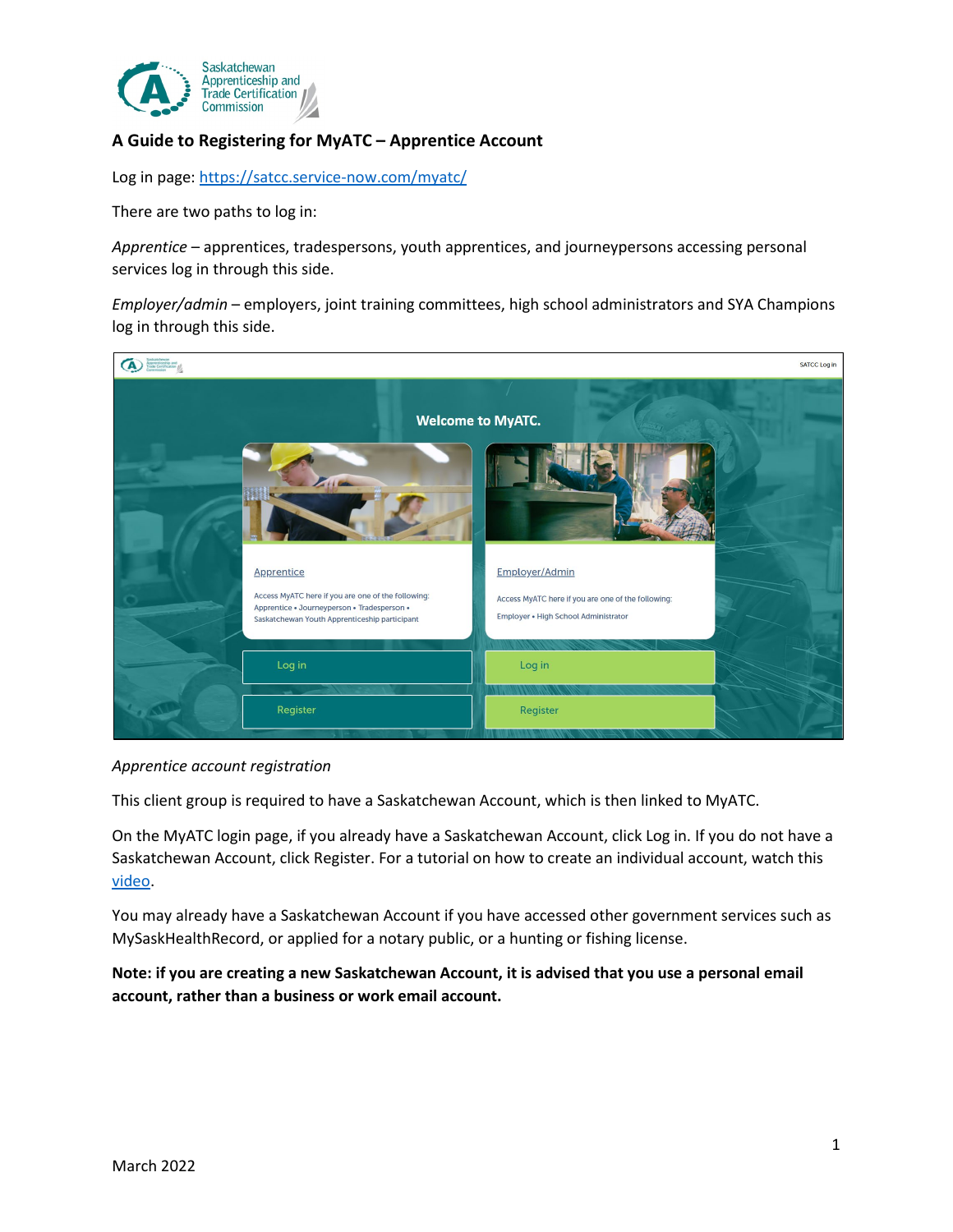

## **A Guide to Registering for MyATC – Apprentice Account**

Log in page: <https://satcc.service-now.com/myatc/>

There are two paths to log in:

*Apprentice* – apprentices, tradespersons, youth apprentices, and journeypersons accessing personal services log in through this side.

*Employer/admin* – employers, joint training committees, high school administrators and SYA Champions log in through this side.



## *Apprentice account registration*

This client group is required to have a Saskatchewan Account, which is then linked to MyATC.

On the MyATC login page, if you already have a Saskatchewan Account, click Log in. If you do not have a Saskatchewan Account, click Register. For a tutorial on how to create an individual account, watch this [video.](https://www.youtube.com/watch?v=QqnMDBosjAY&list=PLnJrCcfEygaxSJHxSMiuvymit47kMw1q6&index=3)

You may already have a Saskatchewan Account if you have accessed other government services such as MySaskHealthRecord, or applied for a notary public, or a hunting or fishing license.

**Note: if you are creating a new Saskatchewan Account, it is advised that you use a personal email account, rather than a business or work email account.**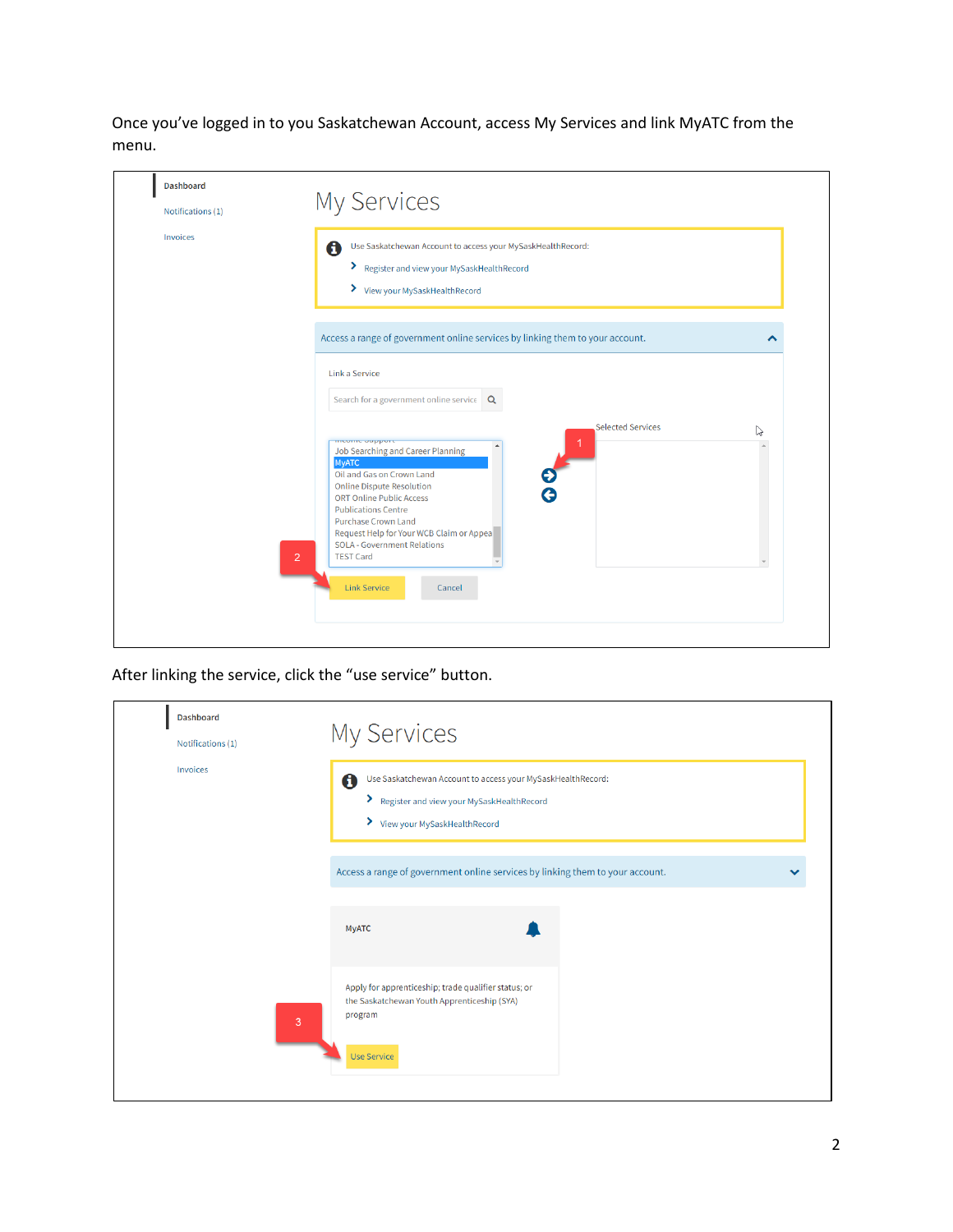Once you've logged in to you Saskatchewan Account, access My Services and link MyATC from the menu.

| <b>Dashboard</b>  |                                                                                                                                                                                                                                                                                                                                                                           |
|-------------------|---------------------------------------------------------------------------------------------------------------------------------------------------------------------------------------------------------------------------------------------------------------------------------------------------------------------------------------------------------------------------|
| Notifications (1) | <b>My Services</b>                                                                                                                                                                                                                                                                                                                                                        |
| Invoices          | Use Saskatchewan Account to access your MySaskHealthRecord:<br>0<br>> Register and view your MySaskHealthRecord<br>> View your MySaskHealthRecord                                                                                                                                                                                                                         |
|                   | Access a range of government online services by linking them to your account.                                                                                                                                                                                                                                                                                             |
|                   | Link a Service<br>Search for a government online service<br>Q                                                                                                                                                                                                                                                                                                             |
| $\overline{2}$    | <b>Selected Services</b><br>P<br>mcome oupport<br>Job Searching and Career Planning<br><b>MyATC</b><br>Oil and Gas on Crown Land<br><b>Online Dispute Resolution</b><br><b>ORT Online Public Access</b><br><b>Publications Centre</b><br><b>Purchase Crown Land</b><br>Request Help for Your WCB Claim or Appea<br><b>SOLA - Government Relations</b><br><b>TEST Card</b> |
|                   | <b>Link Service</b><br>Cancel                                                                                                                                                                                                                                                                                                                                             |

After linking the service, click the "use service" button.

| <b>Dashboard</b><br>Notifications (1)<br>Invoices | <b>My Services</b><br>0<br>Use Saskatchewan Account to access your MySaskHealthRecord:<br>> Register and view your MySaskHealthRecord<br>> View your MySaskHealthRecord |  |
|---------------------------------------------------|-------------------------------------------------------------------------------------------------------------------------------------------------------------------------|--|
|                                                   | Access a range of government online services by linking them to your account.<br><b>MyATC</b>                                                                           |  |
| 3                                                 | Apply for apprenticeship; trade qualifier status; or<br>the Saskatchewan Youth Apprenticeship (SYA)<br>program<br><b>Use Service</b>                                    |  |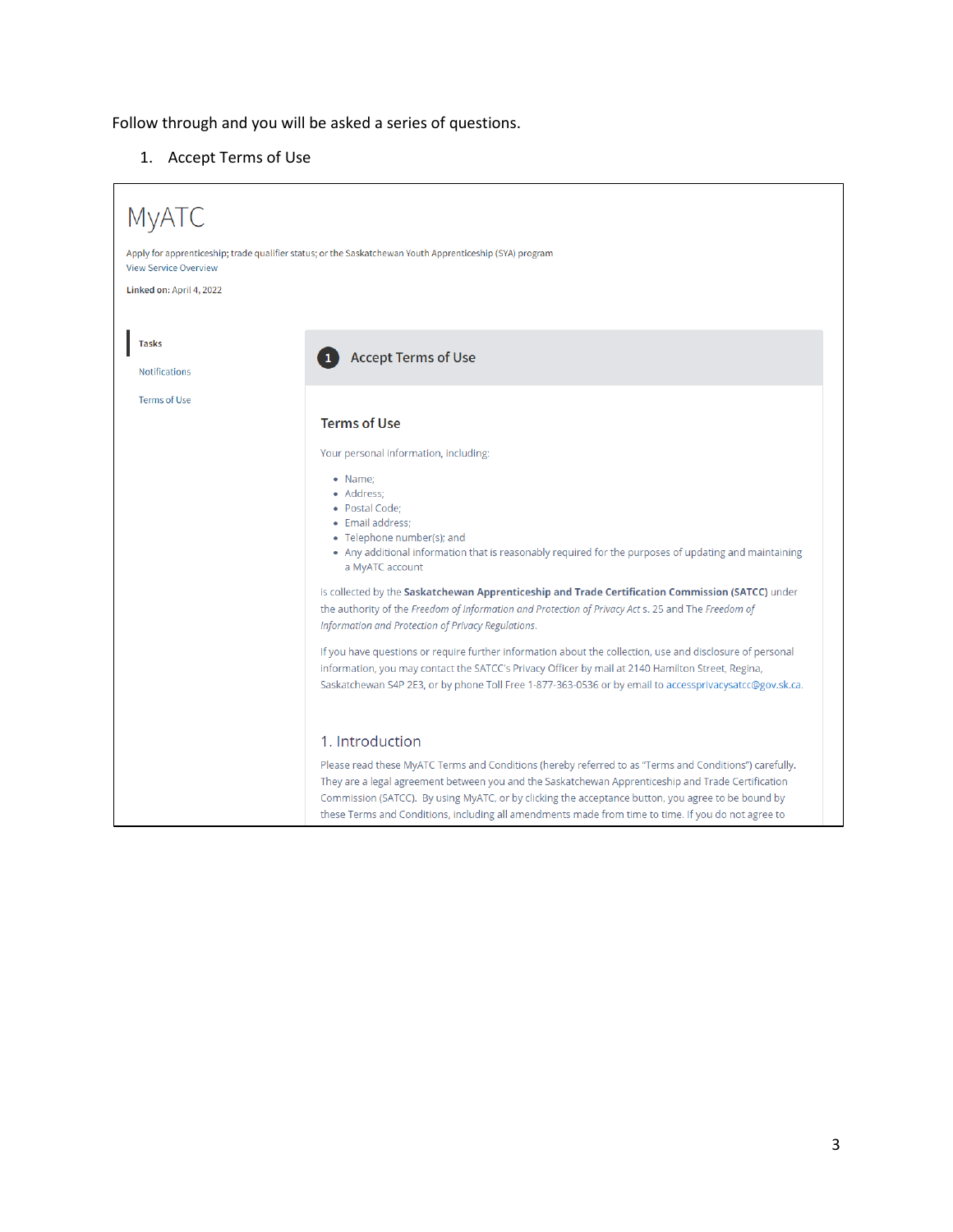Follow through and you will be asked a series of questions.

1. Accept Terms of Use

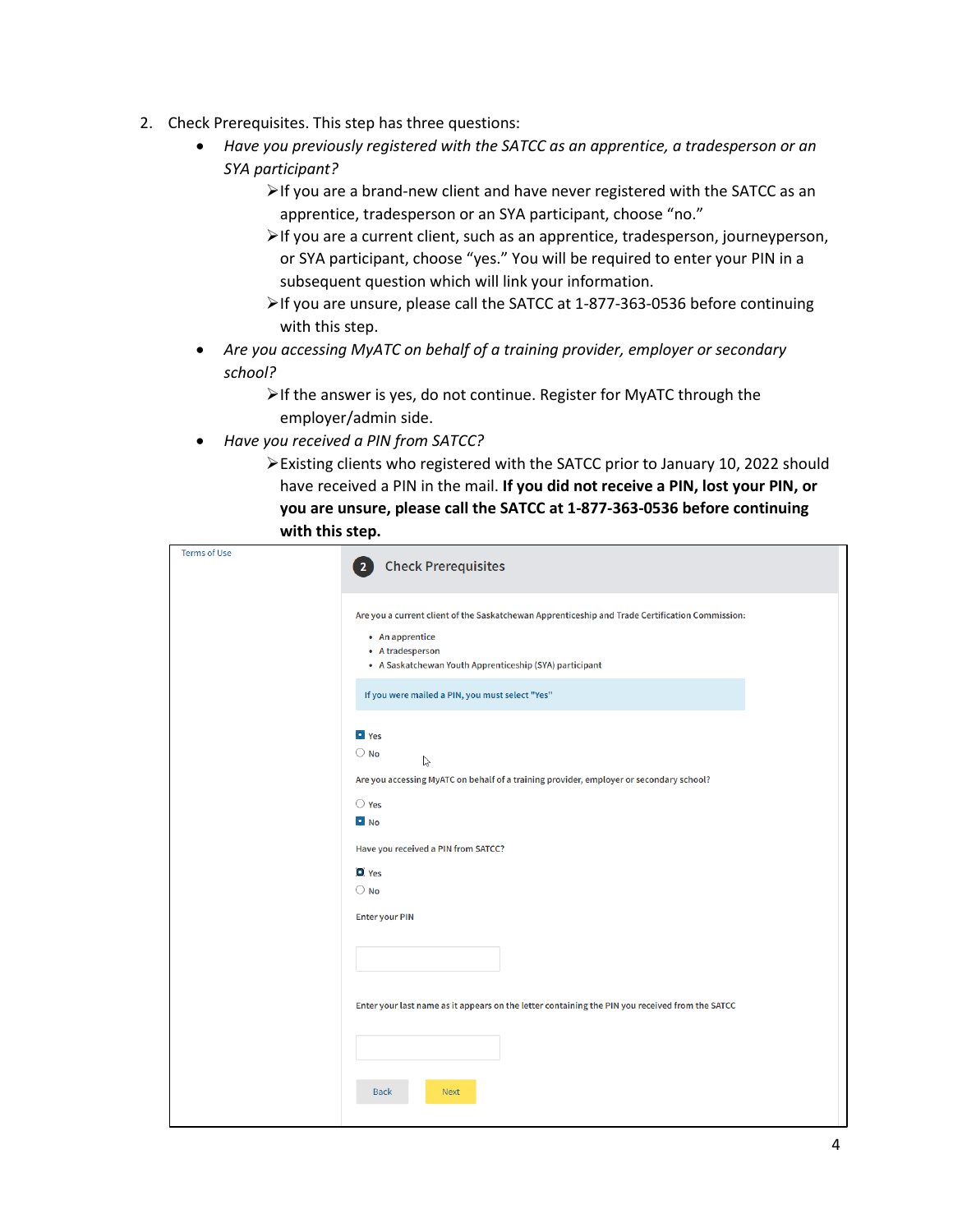- 2. Check Prerequisites. This step has three questions:
	- *Have you previously registered with the SATCC as an apprentice, a tradesperson or an SYA participant?*
		- $\triangleright$  If you are a brand-new client and have never registered with the SATCC as an apprentice, tradesperson or an SYA participant, choose "no."
		- If you are a current client, such as an apprentice, tradesperson, journeyperson, or SYA participant, choose "yes." You will be required to enter your PIN in a subsequent question which will link your information.
		- If you are unsure, please call the SATCC at 1-877-363-0536 before continuing with this step.
	- *Are you accessing MyATC on behalf of a training provider, employer or secondary school?*
		- $\triangleright$  If the answer is yes, do not continue. Register for MyATC through the employer/admin side.
	- *Have you received a PIN from SATCC?*
		- Existing clients who registered with the SATCC prior to January 10, 2022 should have received a PIN in the mail. **If you did not receive a PIN, lost your PIN, or you are unsure, please call the SATCC at 1-877-363-0536 before continuing with this step.**

| <b>Terms of Use</b> | <b>Check Prerequisites</b>                                                                                                                                                                        |
|---------------------|---------------------------------------------------------------------------------------------------------------------------------------------------------------------------------------------------|
|                     | Are you a current client of the Saskatchewan Apprenticeship and Trade Certification Commission:<br>• An apprentice<br>• A tradesperson<br>• A Saskatchewan Youth Apprenticeship (SYA) participant |
|                     | If you were mailed a PIN, you must select "Yes"                                                                                                                                                   |
|                     | O Yes<br>$\bigcirc$ No<br>$\mathbb{P}$<br>Are you accessing MyATC on behalf of a training provider, employer or secondary school?                                                                 |
|                     | $\bigcirc$ Yes<br><b>D</b> No                                                                                                                                                                     |
|                     | Have you received a PIN from SATCC?                                                                                                                                                               |
|                     | $\Box$ Yes<br>$\bigcirc$ No                                                                                                                                                                       |
|                     | <b>Enter your PIN</b>                                                                                                                                                                             |
|                     |                                                                                                                                                                                                   |
|                     | Enter your last name as it appears on the letter containing the PIN you received from the SATCC                                                                                                   |
|                     |                                                                                                                                                                                                   |
|                     | <b>Next</b><br><b>Back</b>                                                                                                                                                                        |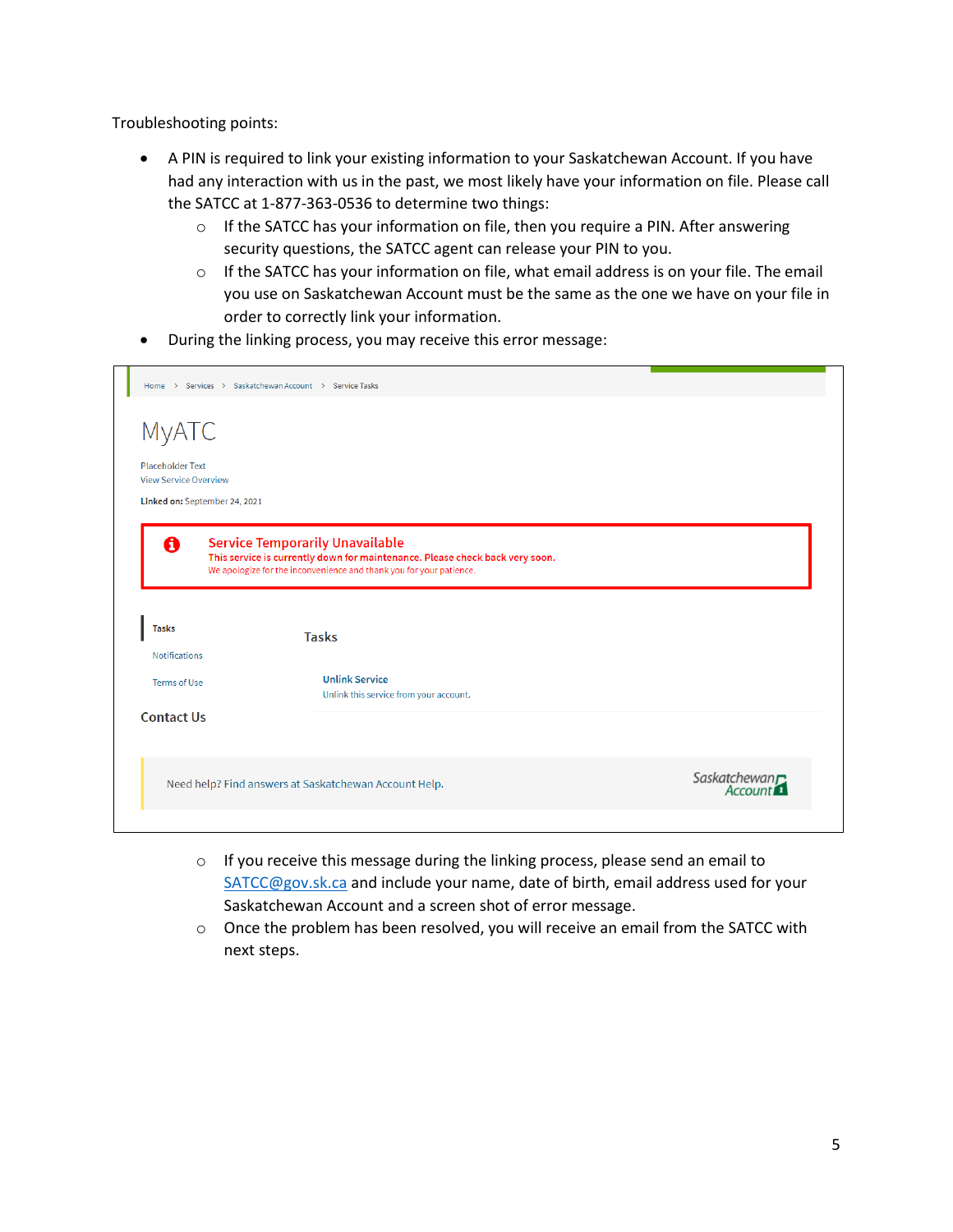Troubleshooting points:

- A PIN is required to link your existing information to your Saskatchewan Account. If you have had any interaction with us in the past, we most likely have your information on file. Please call the SATCC at 1-877-363-0536 to determine two things:
	- $\circ$  If the SATCC has your information on file, then you require a PIN. After answering security questions, the SATCC agent can release your PIN to you.
	- o If the SATCC has your information on file, what email address is on your file. The email you use on Saskatchewan Account must be the same as the one we have on your file in order to correctly link your information.
- During the linking process, you may receive this error message:

| Home > Services > Saskatchewan Account > Service Tasks |                                                                                                                                                     |                           |  |  |  |
|--------------------------------------------------------|-----------------------------------------------------------------------------------------------------------------------------------------------------|---------------------------|--|--|--|
|                                                        |                                                                                                                                                     |                           |  |  |  |
| <b>MyATC</b>                                           |                                                                                                                                                     |                           |  |  |  |
| <b>Placeholder Text</b>                                |                                                                                                                                                     |                           |  |  |  |
| <b>View Service Overview</b>                           |                                                                                                                                                     |                           |  |  |  |
| Linked on: September 24, 2021                          |                                                                                                                                                     |                           |  |  |  |
|                                                        |                                                                                                                                                     |                           |  |  |  |
| 0                                                      | <b>Service Temporarily Unavailable</b>                                                                                                              |                           |  |  |  |
|                                                        | This service is currently down for maintenance. Please check back very soon.<br>We apologize for the inconvenience and thank you for your patience. |                           |  |  |  |
|                                                        |                                                                                                                                                     |                           |  |  |  |
|                                                        |                                                                                                                                                     |                           |  |  |  |
|                                                        |                                                                                                                                                     |                           |  |  |  |
|                                                        |                                                                                                                                                     |                           |  |  |  |
| <b>Tasks</b>                                           | <b>Tasks</b>                                                                                                                                        |                           |  |  |  |
| <b>Notifications</b>                                   |                                                                                                                                                     |                           |  |  |  |
|                                                        | <b>Unlink Service</b>                                                                                                                               |                           |  |  |  |
| <b>Terms of Use</b>                                    | Unlink this service from your account.                                                                                                              |                           |  |  |  |
| <b>Contact Us</b>                                      |                                                                                                                                                     |                           |  |  |  |
|                                                        |                                                                                                                                                     |                           |  |  |  |
|                                                        |                                                                                                                                                     |                           |  |  |  |
|                                                        |                                                                                                                                                     |                           |  |  |  |
|                                                        | Need help? Find answers at Saskatchewan Account Help.                                                                                               | Saskatchewan <sub>T</sub> |  |  |  |

- o If you receive this message during the linking process, please send an email to [SATCC@gov.sk.ca](mailto:SATCC@gov.sk.ca) and include your name, date of birth, email address used for your Saskatchewan Account and a screen shot of error message.
- $\circ$  Once the problem has been resolved, you will receive an email from the SATCC with next steps.